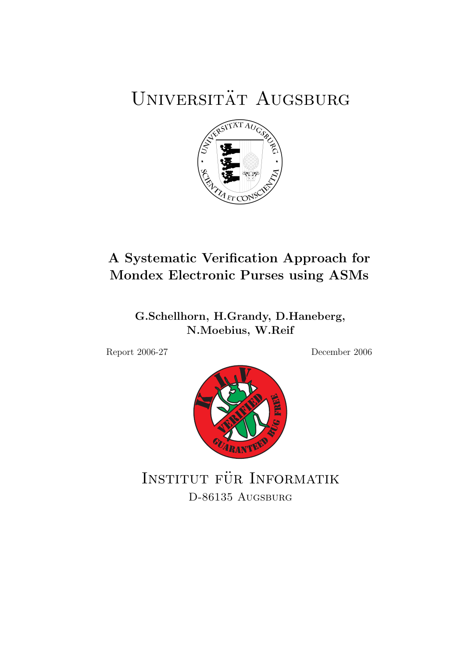# UNIVERSITÄT AUGSBURG



## A Systematic Verification Approach for Mondex Electronic Purses using ASMs

G.Schellhorn, H.Grandy, D.Haneberg, N.Moebius, W.Reif

Report 2006-27 December 2006



INSTITUT FÜR INFORMATIK D-86135 AUGSBURG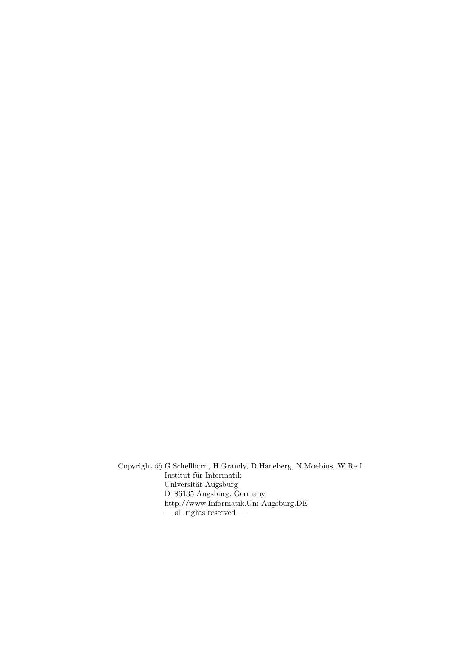Copyright  $\odot$  G.Schellhorn, H.Grandy, D.Haneberg, N.Moebius, W.Reif Institut für Informatik Universität Augsburg D–86135 Augsburg, Germany http://www.Informatik.Uni-Augsburg.DE — all rights reserved —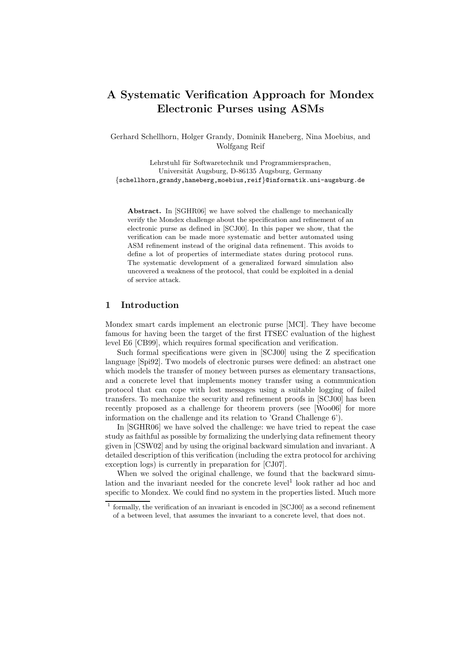### A Systematic Verification Approach for Mondex Electronic Purses using ASMs

Gerhard Schellhorn, Holger Grandy, Dominik Haneberg, Nina Moebius, and Wolfgang Reif

Lehrstuhl für Softwaretechnik und Programmiersprachen, Universität Augsburg, D-86135 Augsburg, Germany {schellhorn,grandy,haneberg,moebius,reif}@informatik.uni-augsburg.de

Abstract. In [SGHR06] we have solved the challenge to mechanically verify the Mondex challenge about the specification and refinement of an electronic purse as defined in [SCJ00]. In this paper we show, that the verification can be made more systematic and better automated using ASM refinement instead of the original data refinement. This avoids to define a lot of properties of intermediate states during protocol runs. The systematic development of a generalized forward simulation also uncovered a weakness of the protocol, that could be exploited in a denial of service attack.

#### 1 Introduction

Mondex smart cards implement an electronic purse [MCI]. They have become famous for having been the target of the first ITSEC evaluation of the highest level E6 [CB99], which requires formal specification and verification.

Such formal specifications were given in [SCJ00] using the Z specification language [Spi92]. Two models of electronic purses were defined: an abstract one which models the transfer of money between purses as elementary transactions, and a concrete level that implements money transfer using a communication protocol that can cope with lost messages using a suitable logging of failed transfers. To mechanize the security and refinement proofs in [SCJ00] has been recently proposed as a challenge for theorem provers (see [Woo06] for more information on the challenge and its relation to 'Grand Challenge 6').

In [SGHR06] we have solved the challenge: we have tried to repeat the case study as faithful as possible by formalizing the underlying data refinement theory given in [CSW02] and by using the original backward simulation and invariant. A detailed description of this verification (including the extra protocol for archiving exception logs) is currently in preparation for [CJ07].

When we solved the original challenge, we found that the backward simulation and the invariant needed for the concrete  $level<sup>1</sup>$  look rather ad hoc and specific to Mondex. We could find no system in the properties listed. Much more

<sup>1</sup> formally, the verification of an invariant is encoded in [SCJ00] as a second refinement of a between level, that assumes the invariant to a concrete level, that does not.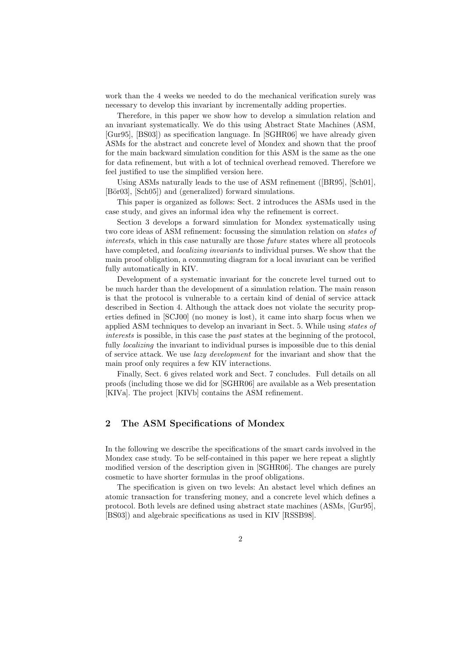work than the 4 weeks we needed to do the mechanical verification surely was necessary to develop this invariant by incrementally adding properties.

Therefore, in this paper we show how to develop a simulation relation and an invariant systematically. We do this using Abstract State Machines (ASM, [Gur95], [BS03]) as specification language. In [SGHR06] we have already given ASMs for the abstract and concrete level of Mondex and shown that the proof for the main backward simulation condition for this ASM is the same as the one for data refinement, but with a lot of technical overhead removed. Therefore we feel justified to use the simplified version here.

Using ASMs naturally leads to the use of ASM refinement ([BR95], [Sch01], [Bör03], [Sch05]) and (generalized) forward simulations.

This paper is organized as follows: Sect. 2 introduces the ASMs used in the case study, and gives an informal idea why the refinement is correct.

Section 3 develops a forward simulation for Mondex systematically using two core ideas of ASM refinement: focussing the simulation relation on states of interests, which in this case naturally are those *future* states where all protocols have completed, and *localizing invariants* to individual purses. We show that the main proof obligation, a commuting diagram for a local invariant can be verified fully automatically in KIV.

Development of a systematic invariant for the concrete level turned out to be much harder than the development of a simulation relation. The main reason is that the protocol is vulnerable to a certain kind of denial of service attack described in Section 4. Although the attack does not violate the security properties defined in [SCJ00] (no money is lost), it came into sharp focus when we applied ASM techniques to develop an invariant in Sect. 5. While using states of interests is possible, in this case the past states at the beginning of the protocol, fully *localizing* the invariant to individual purses is impossible due to this denial of service attack. We use lazy development for the invariant and show that the main proof only requires a few KIV interactions.

Finally, Sect. 6 gives related work and Sect. 7 concludes. Full details on all proofs (including those we did for [SGHR06] are available as a Web presentation [KIVa]. The project [KIVb] contains the ASM refinement.

#### 2 The ASM Specifications of Mondex

In the following we describe the specifications of the smart cards involved in the Mondex case study. To be self-contained in this paper we here repeat a slightly modified version of the description given in [SGHR06]. The changes are purely cosmetic to have shorter formulas in the proof obligations.

The specification is given on two levels: An abstact level which defines an atomic transaction for transfering money, and a concrete level which defines a protocol. Both levels are defined using abstract state machines (ASMs, [Gur95], [BS03]) and algebraic specifications as used in KIV [RSSB98].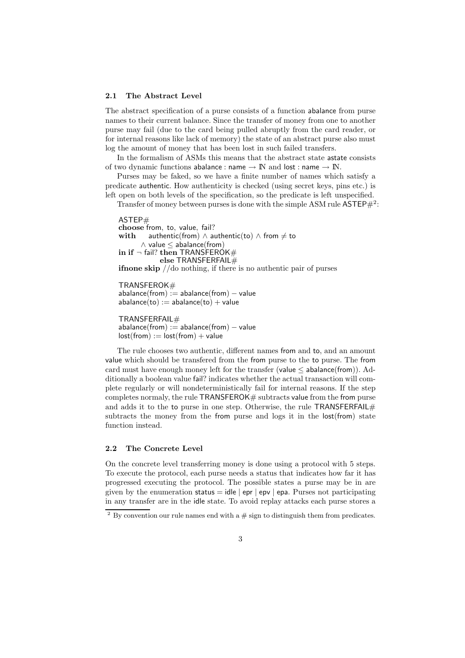#### 2.1 The Abstract Level

The abstract specification of a purse consists of a function abalance from purse names to their current balance. Since the transfer of money from one to another purse may fail (due to the card being pulled abruptly from the card reader, or for internal reasons like lack of memory) the state of an abstract purse also must log the amount of money that has been lost in such failed transfers.

In the formalism of ASMs this means that the abstract state astate consists of two dynamic functions abalance : name  $\rightarrow \mathbb{N}$  and lost : name  $\rightarrow \mathbb{N}$ .

Purses may be faked, so we have a finite number of names which satisfy a predicate authentic. How authenticity is checked (using secret keys, pins etc.) is left open on both levels of the specification, so the predicate is left unspecified.

Transfer of money between purses is done with the simple ASM rule  $\widehat{\text{{\sf ASTEP}}}\#^2$ :

```
ASTFP#choose from, to, value, fail?
with authentic(from) \land authentic(to) \land from \neq to
      ∧ value ≤ abalance(from)
in if \neg fail? then TRANSFEROK#
            else TRANSFERFAIL#
ifnone skip //do nothing, if there is no authentic pair of purses
```

```
TRANSFEROK#
abalance(from) := abalance(from) - valueabalance(to) := abalance(to) + value
```

```
TRANSFERFAIL#
abalance(from) := abalance(from) - valuelost(from) := lost(from) + value
```
The rule chooses two authentic, different names from and to, and an amount value which should be transfered from the from purse to the to purse. The from card must have enough money left for the transfer (value  $\leq$  abalance(from)). Additionally a boolean value fail? indicates whether the actual transaction will complete regularly or will nondeterministically fail for internal reasons. If the step completes normaly, the rule TRANSFEROK# subtracts value from the from purse and adds it to the to purse in one step. Otherwise, the rule TRANSFERFAIL  $#$ subtracts the money from the from purse and logs it in the lost(from) state function instead.

#### 2.2 The Concrete Level

On the concrete level transferring money is done using a protocol with 5 steps. To execute the protocol, each purse needs a status that indicates how far it has progressed executing the protocol. The possible states a purse may be in are given by the enumeration status = idle | epr | epv | epa. Purses not participating in any transfer are in the idle state. To avoid replay attacks each purse stores a

<sup>&</sup>lt;sup>2</sup> By convention our rule names end with a  $\#$  sign to distinguish them from predicates.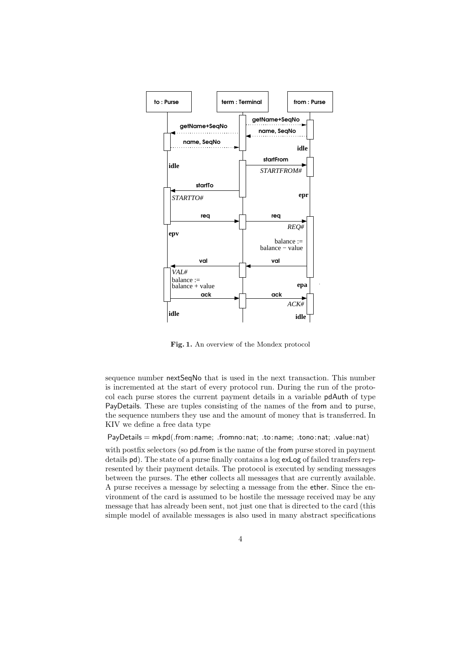

Fig. 1. An overview of the Mondex protocol

sequence number nextSeqNo that is used in the next transaction. This number is incremented at the start of every protocol run. During the run of the protocol each purse stores the current payment details in a variable pdAuth of type PayDetails. These are tuples consisting of the names of the from and to purse, the sequence numbers they use and the amount of money that is transferred. In KIV we define a free data type

PayDetails = mkpd(.from:name; .fromno:nat; .to:name; .tono:nat; .value:nat)

with postfix selectors (so pd.from is the name of the from purse stored in payment details pd). The state of a purse finally contains a log exLog of failed transfers represented by their payment details. The protocol is executed by sending messages between the purses. The ether collects all messages that are currently available. A purse receives a message by selecting a message from the ether. Since the environment of the card is assumed to be hostile the message received may be any message that has already been sent, not just one that is directed to the card (this simple model of available messages is also used in many abstract specifications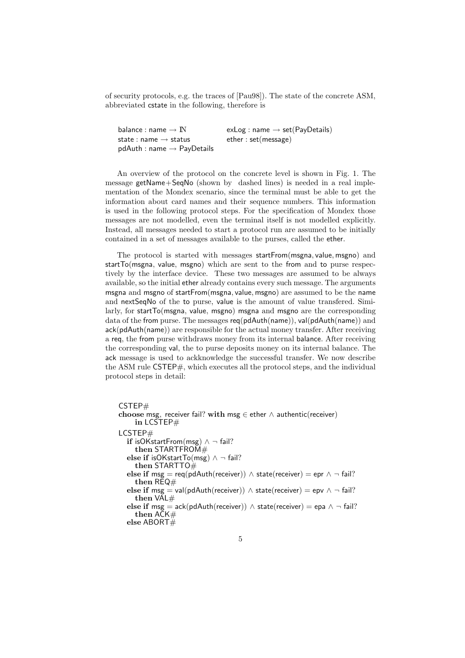of security protocols, e.g. the traces of [Pau98]). The state of the concrete ASM, abbreviated cstate in the following, therefore is

```
balance : name \rightarrow \mathbb{N} exLog : name \rightarrow set(PayDetails)
state : name \rightarrow status ether : set(message)
pdAuth : name \rightarrow PayDetails
```
An overview of the protocol on the concrete level is shown in Fig. 1. The message getName+SeqNo (shown by dashed lines) is needed in a real implementation of the Mondex scenario, since the terminal must be able to get the information about card names and their sequence numbers. This information is used in the following protocol steps. For the specification of Mondex those messages are not modelled, even the terminal itself is not modelled explicitly. Instead, all messages needed to start a protocol run are assumed to be initially contained in a set of messages available to the purses, called the ether.

The protocol is started with messages startFrom(msgna, value, msgno) and startTo(msgna, value, msgno) which are sent to the from and to purse respectively by the interface device. These two messages are assumed to be always available, so the initial ether already contains every such message. The arguments msgna and msgno of startFrom(msgna, value, msgno) are assumed to be the name and nextSeqNo of the to purse, value is the amount of value transfered. Similarly, for startTo(msgna, value, msgno) msgna and msgno are the corresponding data of the from purse. The messages req(pdAuth(name)), val(pdAuth(name)) and ack(pdAuth(name)) are responsible for the actual money transfer. After receiving a req, the from purse withdraws money from its internal balance. After receiving the corresponding val, the to purse deposits money on its internal balance. The ack message is used to ackknowledge the successful transfer. We now describe the ASM rule  $CSTEP\#$ , which executes all the protocol steps, and the individual protocol steps in detail:

```
CSTEP#
choose msg, receiver fail? with msg \in ether \wedge authentic(receiver)
    in LCSTEP#LCSTEP#
  if isOKstartFrom(msg) ∧ ¬ fail?
     then STARTFROM#
  else if isOKstartTo(msg) ∧ ¬ fail?
     then STARTTO#
  else if msg = req(pdAuth(receiver)) \land state(receiver) = epr \land ¬ fail?
     then REQ#
  else if msg = val(pdAuth(receiver)) \land state(receiver) = epv \land ¬ fail?
    then VAL#
  else if msg = ack(pdAuth(receiver)) \land state(receiver) = epa \land ¬ fail?
     then ACK#else ABORT#
```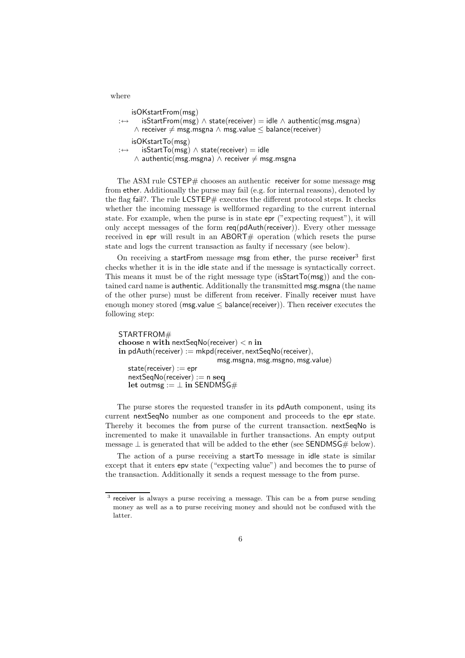where

```
isOKstartFrom(msg)
: \leftrightarrow isStartFrom(msg) \land state(receiver) = idle \land authentic(msg.msgna)
     \wedge receiver \neq msg.msgna \wedge msg.value \leq balance(receiver)
    isOKstartTo(msg)
: \leftrightarrow isStartTo(msg) ∧ state(receiver) = idle
     ∧ authentic(msg.msgna) ∧ receiver \neq msg.msgna
```
The ASM rule  $CSTEP\#$  chooses an authentic receiver for some message msg from ether. Additionally the purse may fail (e.g. for internal reasons), denoted by the flag fail?. The rule  $LCSTEP\#$  executes the different protocol steps. It checks whether the incoming message is wellformed regarding to the current internal state. For example, when the purse is in state epr ("expecting request"), it will only accept messages of the form req(pdAuth(receiver)). Every other message received in epr will result in an  $ABORT#$  operation (which resets the purse state and logs the current transaction as faulty if necessary (see below).

On receiving a startFrom message msg from ether, the purse receiver<sup>3</sup> first checks whether it is in the idle state and if the message is syntactically correct. This means it must be of the right message type ( $isStartTo(msg)$ ) and the contained card name is authentic. Additionally the transmitted msg.msgna (the name of the other purse) must be different from receiver. Finally receiver must have enough money stored (msg.value < balance(receiver)). Then receiver executes the following step:

```
STARTFROM#
choose n with nextSeqNo(receiver) < n in
in pd\text{Aut}h(receiver) := mkpd(receiver, nextSeqNo(receiver),
                             msg.msgna, msg.msgno, msg.value)
  state(receiver) := epr
   nextSeqNo(receiver) := n seq
  let outmsg := \perp in SENDMSG#
```
The purse stores the requested transfer in its pdAuth component, using its current nextSeqNo number as one component and proceeds to the epr state. Thereby it becomes the from purse of the current transaction. nextSeqNo is incremented to make it unavailable in further transactions. An empty output message  $\perp$  is generated that will be added to the ether (see SENDMSG# below).

The action of a purse receiving a startTo message in idle state is similar except that it enters epv state ("expecting value") and becomes the to purse of the transaction. Additionally it sends a request message to the from purse.

<sup>&</sup>lt;sup>3</sup> receiver is always a purse receiving a message. This can be a from purse sending money as well as a to purse receiving money and should not be confused with the latter.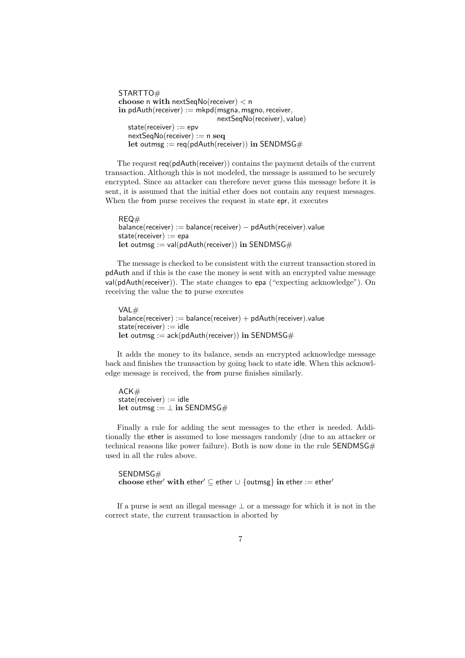```
STARTTO#
choose n with nextSeqNo(receiver) < n
in pd\text{Aut}h(receiver) := mkpd(msgna, msgno, receiver,
                             nextSeqNo(receiver), value)
  state(receiver) := epv
  nextSeqNo(receiver) := n seq
  let outmsg := req(pdAuth(receiver)) in SENDMSG#
```
The request req(pdAuth(receiver)) contains the payment details of the current transaction. Although this is not modeled, the message is assumed to be securely encrypted. Since an attacker can therefore never guess this message before it is sent, it is assumed that the initial ether does not contain any request messages. When the from purse receives the request in state epr, it executes

```
REQ#
balance(receiver) := balance(receiver) − pdAuth(receiver).value
state(receiver) := epa
let outmsg := val(pdAuth(receiver)) in SENDMSG#
```
The message is checked to be consistent with the current transaction stored in pdAuth and if this is the case the money is sent with an encrypted value message val(pdAuth(receiver)). The state changes to epa ("expecting acknowledge"). On receiving the value the to purse executes

```
VAL#
balance(receiver) := balance(receiver) + pdAuth(receiver).valuestate(receiver) := idlelet outmsg := ack(pdAuth(receiver)) in SENDMSG#
```
It adds the money to its balance, sends an encrypted acknowledge message back and finishes the transaction by going back to state idle. When this acknowledge message is received, the from purse finishes similarly.

 $ACK#$ state(receiver) := idle let outmsg  $:=$   $\perp$  in SENDMSG#

Finally a rule for adding the sent messages to the ether is needed. Additionally the ether is assumed to lose messages randomly (due to an attacker or technical reasons like power failure). Both is now done in the rule  $SENDMSG#$ used in all the rules above.

SENDMSG# choose ether' with ether'  $\subseteq$  ether  $\cup$  {outmsg} in ether := ether'

If a purse is sent an illegal message  $\perp$  or a message for which it is not in the correct state, the current transaction is aborted by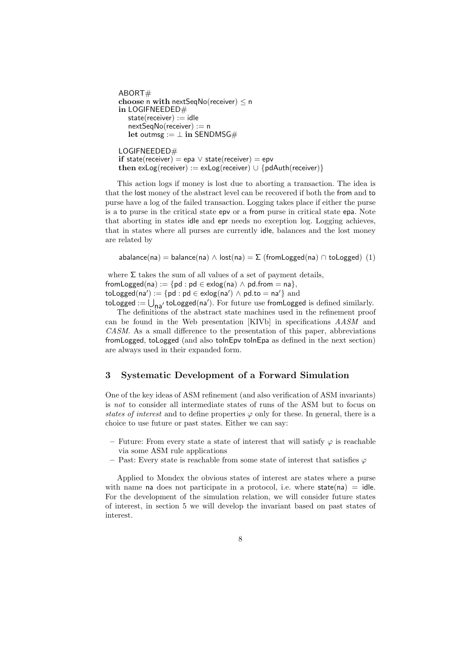```
ABORT#
choose n with nextSeqNo(receiver) \leq n
in LOGIFNEEDED#
  state(receiver) := idlenextSeqNo(receiver) := n
  let outmsg := \perp in SENDMSG#
LOGIFNEEDED#
if state(receiver) = epa \vee state(receiver) = epv
then exLog(receiver) := exLog(receiver) \cup {pdAuth(receiver)}
```
This action logs if money is lost due to aborting a transaction. The idea is that the lost money of the abstract level can be recovered if both the from and to purse have a log of the failed transaction. Logging takes place if either the purse is a to purse in the critical state epv or a from purse in critical state epa. Note that aborting in states idle and epr needs no exception log. Logging achieves, that in states where all purses are currently idle, balances and the lost money are related by

abalance(na) = balance(na)  $\land$  lost(na) =  $\Sigma$  (from Logged(na)  $\cap$  to Logged) (1)

where  $\Sigma$  takes the sum of all values of a set of payment details, fromLogged(na) := {pd : pd  $\in$  exlog(na)  $\wedge$  pd.from = na},  $\text{tologged}(na') := \{ pd : pd \in \text{exlog}(na') \land pd.to = na' \}$  and

toLogged :=  $\bigcup_{n=1}^{\infty}$  toLogged(na'). For future use fromLogged is defined similarly. The definitions of the abstract state machines used in the refinement proof can be found in the Web presentation [KIVb] in specifications AASM and CASM. As a small difference to the presentation of this paper, abbreviations fromLogged, toLogged (and also toInEpv toInEpa as defined in the next section) are always used in their expanded form.

#### 3 Systematic Development of a Forward Simulation

One of the key ideas of ASM refinement (and also verification of ASM invariants) is not to consider all intermediate states of runs of the ASM but to focus on states of interest and to define properties  $\varphi$  only for these. In general, there is a choice to use future or past states. Either we can say:

- Future: From every state a state of interest that will satisfy  $\varphi$  is reachable via some ASM rule applications
- Past: Every state is reachable from some state of interest that satisfies  $\varphi$

Applied to Mondex the obvious states of interest are states where a purse with name na does not participate in a protocol, i.e. where state(na) = idle. For the development of the simulation relation, we will consider future states of interest, in section 5 we will develop the invariant based on past states of interest.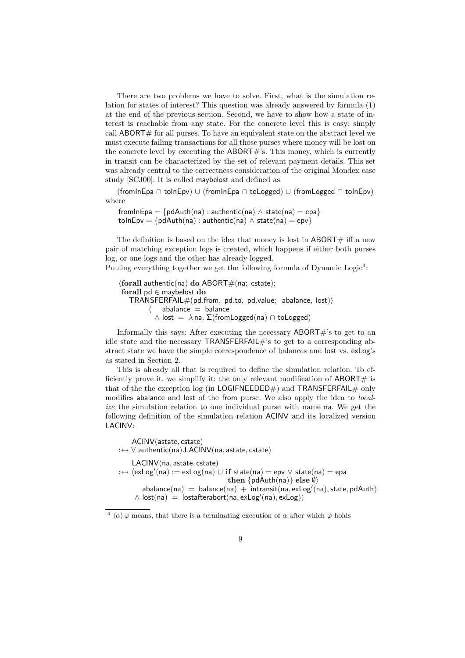There are two problems we have to solve. First, what is the simulation relation for states of interest? This question was already answered by formula (1) at the end of the previous section. Second, we have to show how a state of interest is reachable from any state. For the concrete level this is easy: simply call  $ABORT \#$  for all purses. To have an equivalent state on the abstract level we must execute failing transactions for all those purses where money will be lost on the concrete level by executing the  $ABORT \# \text{'s}$ . This money, which is currently in transit can be characterized by the set of relevant payment details. This set was already central to the correctness consideration of the original Mondex case study [SCJ00]. It is called maybelost and defined as

(fromInEpa ∩ toInEpv) ∪ (fromInEpa ∩ toLogged) ∪ (fromLogged ∩ toInEpv) where

fromInEpa = {pdAuth(na) : authentic(na)  $\land$  state(na) = epa} toInEpv =  $\{pdAuth(na) : authentic(na) \wedge state(na) = epv\}$ 

The definition is based on the idea that money is lost in  $ABORT \#$  iff a new pair of matching exception logs is created, which happens if either both purses log, or one logs and the other has already logged.

Putting everything together we get the following formula of Dynamic Logic<sup>4</sup>:

 $\frac{1}{10}$  authentic(na) do ABORT#(na; cstate); forall  $pd \in m$ aybelost do  $TRANSFERFAIL#(pd.from, pd.to, pd.value; abalance, lost)$  $($  abalance  $=$  balance  $\wedge$  lost =  $\lambda$  na.  $\Sigma$ (fromLogged(na)  $\cap$  toLogged)

Informally this says: After executing the necessary  $ABORT \# S$  to get to an idle state and the necessary  $TRANSFERFAIL#$ 's to get to a corresponding abstract state we have the simple correspondence of balances and lost vs. exLog's as stated in Section 2.

This is already all that is required to define the simulation relation. To efficiently prove it, we simplify it: the only relevant modification of  $ABORT \#$  is that of the the exception log (in  $LOGIFNEEDED\#$ ) and TRANSFERFAIL $\#$  only modifies abalance and lost of the from purse. We also apply the idea to *local*ize the simulation relation to one individual purse with name na. We get the following definition of the simulation relation ACINV and its localized version LACINV:

ACINV(astate, cstate) :↔ ∀ authentic(na).LACINV(na, astate, cstate) LACINV(na, astate, cstate) :⇔  $\langle$ exLog'(na) := exLog(na)∪ if state(na) = epv ∨ state(na) = epa then  $\{pdAuth(na)\}$  else  $\emptyset$  $abalance(na) = balance(na) + 'intransit(na, exLog'(na), state, pdAuth)$  $\wedge$  lost(na) = lostafterabort(na, exLog'(na), exLog))

 $^4$   $\langle \alpha \rangle \varphi$  means, that there is a terminating execution of  $\alpha$  after which  $\varphi$  holds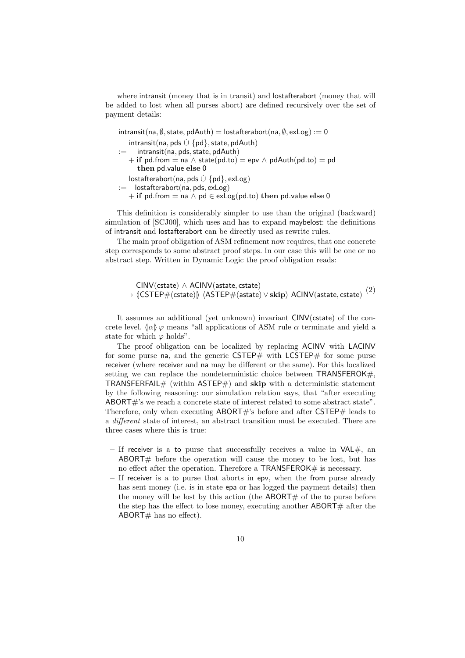where intransit (money that is in transit) and lostafterabort (money that will be added to lost when all purses abort) are defined recursively over the set of payment details:

 $intransit(na, \emptyset, state, pdAuth) = lostafterabort(na, \emptyset, exLog) := 0$  $intransit(na, pds \cup {pd}, state, pdAuth)$  $:=$  intransit(na, pds, state, pdAuth)  $+$  if pd.from  $=$  na  $\wedge$  state(pd.to)  $=$  epv  $\wedge$  pdAuth(pd.to)  $=$  pd then pd.value else 0  $lostafterabort(na, pds \cup \{pd\}, exLog)$ lostafterabort(na, pds, exLog) + if pd.from = na  $\wedge$  pd  $\in$  exLog(pd.to) then pd.value else 0

This definition is considerably simpler to use than the original (backward) simulation of [SCJ00], which uses and has to expand maybelost: the definitions of intransit and lostafterabort can be directly used as rewrite rules.

The main proof obligation of ASM refinement now requires, that one concrete step corresponds to some abstract proof steps. In our case this will be one or no abstract step. Written in Dynamic Logic the proof obligation reads:

CINV(cstate) ∧ ACINV(astate, cstate) →  $\langle$ CSTEP#(cstate) $\rangle$   $\langle$ ASTEP#(astate)∨skip $\rangle$  ACINV(astate, cstate)<sup>(2)</sup>

It assumes an additional (yet unknown) invariant CINV(cstate) of the concrete level.  $\langle \alpha \rangle$   $\varphi$  means "all applications of ASM rule  $\alpha$  terminate and yield a state for which  $\varphi$  holds".

The proof obligation can be localized by replacing ACINV with LACINV for some purse na, and the generic  $CSTEP#$  with  $LCSTEP#$  for some purse receiver (where receiver and na may be different or the same). For this localized setting we can replace the nondeterministic choice between  $TRANSFEROK#$ , **TRANSFERFAIL**# (within  $\text{A}\text{S}\text{TEP}\#$ ) and **skip** with a deterministic statement by the following reasoning: our simulation relation says, that "after executing ABORT#'s we reach a concrete state of interest related to some abstract state". Therefore, only when executing  $ABORT \# \text{'s}$  before and after  $CSTEP \#$  leads to a different state of interest, an abstract transition must be executed. There are three cases where this is true:

- If receiver is a to purse that successfully receives a value in  $VAL#$ , an ABORT $#$  before the operation will cause the money to be lost, but has no effect after the operation. Therefore a  $TRANSFEROK#$  is necessary.
- If receiver is a to purse that aborts in epv, when the from purse already has sent money (i.e. is in state epa or has logged the payment details) then the money will be lost by this action (the  $ABORT \#$  of the to purse before the step has the effect to lose money, executing another  $ABORT \#$  after the ABORT# has no effect).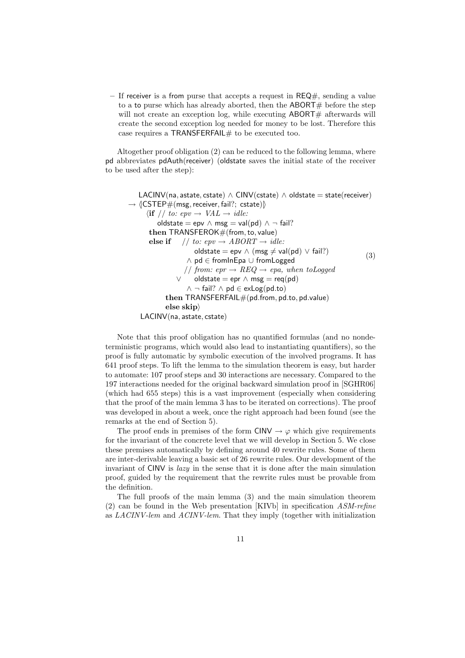– If receiver is a from purse that accepts a request in  $\mathsf{REQ}\#$ , sending a value to a to purse which has already aborted, then the  $ABORT \#$  before the step will not create an exception log, while executing  $ABORT \#$  afterwards will create the second exception log needed for money to be lost. Therefore this case requires a  $TRANSFERFAIL#$  to be executed too.

Altogether proof obligation (2) can be reduced to the following lemma, where pd abbreviates pdAuth(receiver) (oldstate saves the initial state of the receiver to be used after the step):

```
LACINV(na, astate, cstate) \land CINV(cstate) \land oldstate = state(receiver)
\rightarrow (CSTEP#(msg, receiver, fail?; cstate))
      \langleif // to: epv \rightarrow VAL \rightarrow idle:oldstate = epv \land msg = val(pd) \land ¬ fail?
       then TRANSFEROK#(from, to, value)
       else if // to: epv \rightarrow ABORT \rightarrow idle:oldstate = epv \land (msg \neq val(pd) \lor fail?)
                    ∧ pd ∈ fromInEpa ∪ fromLogged
                   // from: epr \rightarrow REQ \rightarrow epa, when toLogged
                ∨ oldstate = epr ∧ msg = req(pd)
                   ∧ ¬ fail? ∧ pd ∈ exLog(pd.to)
            then TRANSFERFAIL#(pd.from, pd.to, pd.value)
            else skip\rangleLACINV(na, astate, cstate)
                                                                                 (3)
```
Note that this proof obligation has no quantified formulas (and no nondeterministic programs, which would also lead to instantiating quantifiers), so the proof is fully automatic by symbolic execution of the involved programs. It has 641 proof steps. To lift the lemma to the simulation theorem is easy, but harder to automate: 107 proof steps and 30 interactions are necessary. Compared to the 197 interactions needed for the original backward simulation proof in [SGHR06] (which had 655 steps) this is a vast improvement (especially when considering that the proof of the main lemma 3 has to be iterated on corrections). The proof was developed in about a week, once the right approach had been found (see the remarks at the end of Section 5).

The proof ends in premises of the form  $CINV \rightarrow \varphi$  which give requirements for the invariant of the concrete level that we will develop in Section 5. We close these premises automatically by defining around 40 rewrite rules. Some of them are inter-derivable leaving a basic set of 26 rewrite rules. Our development of the invariant of  $CINV$  is *lazy* in the sense that it is done after the main simulation proof, guided by the requirement that the rewrite rules must be provable from the definition.

The full proofs of the main lemma (3) and the main simulation theorem (2) can be found in the Web presentation [KIVb] in specification ASM-refine as LACINV-lem and ACINV-lem. That they imply (together with initialization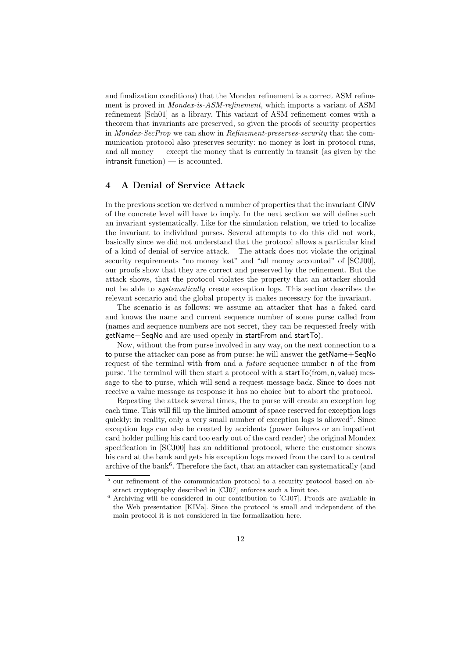and finalization conditions) that the Mondex refinement is a correct ASM refinement is proved in *Mondex-is-ASM-refinement*, which imports a variant of ASM refinement [Sch01] as a library. This variant of ASM refinement comes with a theorem that invariants are preserved, so given the proofs of security properties in Mondex-SecProp we can show in Refinement-preserves-security that the communication protocol also preserves security: no money is lost in protocol runs, and all money — except the money that is currently in transit (as given by the intransit function) — is accounted.

#### 4 A Denial of Service Attack

In the previous section we derived a number of properties that the invariant CINV of the concrete level will have to imply. In the next section we will define such an invariant systematically. Like for the simulation relation, we tried to localize the invariant to individual purses. Several attempts to do this did not work, basically since we did not understand that the protocol allows a particular kind of a kind of denial of service attack. The attack does not violate the original security requirements "no money lost" and "all money accounted" of [SCJ00], our proofs show that they are correct and preserved by the refinement. But the attack shows, that the protocol violates the property that an attacker should not be able to systematically create exception logs. This section describes the relevant scenario and the global property it makes necessary for the invariant.

The scenario is as follows: we assume an attacker that has a faked card and knows the name and current sequence number of some purse called from (names and sequence numbers are not secret, they can be requested freely with getName+SeqNo and are used openly in startFrom and startTo).

Now, without the from purse involved in any way, on the next connection to a to purse the attacker can pose as from purse: he will answer the getName+SeqNo request of the terminal with from and a future sequence number n of the from purse. The terminal will then start a protocol with a startTo(from, n, value) message to the to purse, which will send a request message back. Since to does not receive a value message as response it has no choice but to abort the protocol.

Repeating the attack several times, the to purse will create an exception log each time. This will fill up the limited amount of space reserved for exception logs quickly: in reality, only a very small number of exception logs is allowed<sup>5</sup>. Since exception logs can also be created by accidents (power failures or an impatient card holder pulling his card too early out of the card reader) the original Mondex specification in [SCJ00] has an additional protocol, where the customer shows his card at the bank and gets his exception logs moved from the card to a central archive of the bank<sup>6</sup>. Therefore the fact, that an attacker can systematically (and

<sup>5</sup> our refinement of the communication protocol to a security protocol based on abstract cryptography described in [CJ07] enforces such a limit too.

<sup>6</sup> Archiving will be considered in our contribution to [CJ07]. Proofs are available in the Web presentation [KIVa]. Since the protocol is small and independent of the main protocol it is not considered in the formalization here.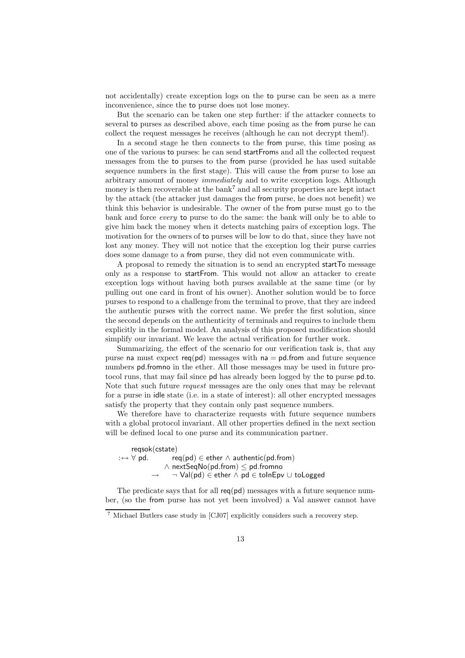not accidentally) create exception logs on the to purse can be seen as a mere inconvenience, since the to purse does not lose money.

But the scenario can be taken one step further: if the attacker connects to several to purses as described above, each time posing as the from purse he can collect the request messages he receives (although he can not decrypt them!).

In a second stage he then connects to the from purse, this time posing as one of the various to purses: he can send startFroms and all the collected request messages from the to purses to the from purse (provided he has used suitable sequence numbers in the first stage). This will cause the from purse to lose an arbitrary amount of money immediately and to write exception logs. Although money is then recoverable at the bank<sup>7</sup> and all security properties are kept intact by the attack (the attacker just damages the from purse, he does not benefit) we think this behavior is undesirable. The owner of the from purse must go to the bank and force every to purse to do the same: the bank will only be to able to give him back the money when it detects matching pairs of exception logs. The motivation for the owners of to purses will be low to do that, since they have not lost any money. They will not notice that the exception log their purse carries does some damage to a from purse, they did not even communicate with.

A proposal to remedy the situation is to send an encrypted startTo message only as a response to startFrom. This would not allow an attacker to create exception logs without having both purses available at the same time (or by pulling out one card in front of his owner). Another solution would be to force purses to respond to a challenge from the terminal to prove, that they are indeed the authentic purses with the correct name. We prefer the first solution, since the second depends on the authenticity of terminals and requires to include them explicitly in the formal model. An analysis of this proposed modification should simplify our invariant. We leave the actual verification for further work.

Summarizing, the effect of the scenario for our verification task is, that any purse na must expect  $req(pd)$  messages with na = pd.from and future sequence numbers pd.fromno in the ether. All those messages may be used in future protocol runs, that may fail since pd has already been logged by the to purse pd.to. Note that such future *request* messages are the only ones that may be relevant for a purse in idle state (i.e. in a state of interest): all other encrypted messages satisfy the property that they contain only past sequence numbers.

We therefore have to characterize requests with future sequence numbers with a global protocol invariant. All other properties defined in the next section will be defined local to one purse and its communication partner.

reqsok(cstate)  $\Rightarrow$   $\forall$  pd. reg(pd)  $\in$  ether  $\wedge$  authentic(pd.from)  $\wedge$  nextSeqNo(pd.from)  $\leq$  pd.fromno  $\neg$  Val(pd)  $\in$  ether  $\land$  pd  $\in$  tolnEpv  $\cup$  toLogged

The predicate says that for all req(pd) messages with a future sequence number, (so the from purse has not yet been involved) a Val answer cannot have

<sup>7</sup> Michael Butlers case study in [CJ07] explicitly considers such a recovery step.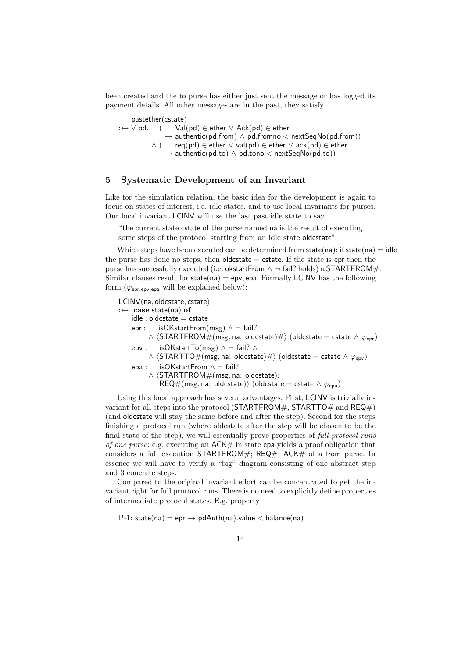been created and the to purse has either just sent the message or has logged its payment details. All other messages are in the past, they satisfy

pastether(cstate)<br> $\leftrightarrow \forall$  pd. ( Value  $\hat{V}$  Val(pd) ∈ ether ∨ Ack(pd) ∈ ether  $\rightarrow$  authentic(pd.from)  $\land$  pd.fromno  $<$  nextSeqNo(pd.from))  $∧ ( \text{req}(pd) \in \text{ether} \lor \text{val}(pd) \in \text{ether} \lor \text{ack}(pd) \in \text{ether}$  $\rightarrow$  authentic(pd.to)  $\land$  pd.tono  $\lt$  nextSeqNo(pd.to))

#### 5 Systematic Development of an Invariant

Like for the simulation relation, the basic idea for the development is again to focus on states of interest, i.e. idle states, and to use local invariants for purses. Our local invariant LCINV will use the last past idle state to say

"the current state cstate of the purse named na is the result of executing some steps of the protocol starting from an idle state oldcstate"

Which steps have been executed can be determined from state(na): if state(na) = idle the purse has done no steps, then oldcstate  $=$  cstate. If the state is epr then the purse has successfully executed (i.e. okstartFrom  $\wedge \neg$  fail? holds) a STARTFROM#. Similar clauses result for state(na) = epv, epa. Formally LCINV has the following form  $(\varphi_{\text{epr},\text{epv},\text{epa}})$  will be explained below):

LCINV(na, oldcstate, cstate)  $\leftrightarrow$  case state(na) of  $idle : oldcstate = cstate$ epr : isOKstartFrom(msg)  $\wedge \neg$  fail?  $\wedge$   $\langle$  STARTFROM#(msg, na; oldcstate)# $\rangle$  (oldcstate = cstate  $\wedge \varphi_{\text{epr}}$ ) epv : isOKstartTo(msg) ∧ ¬ fail? ∧  $\wedge$   $\langle$  STARTTO#(msg, na; oldcstate)#) (oldcstate = cstate  $\wedge \varphi_{\text{env}}$ ) epa : isOKstartFrom ∧ ¬ fail?  $\wedge$   $\langle$  STARTFROM $\#$ (msg, na; oldcstate);  $REQ\# (msg, na; oldcstate) \mid (oldcstate = cstate \wedge \varphi_{ena})$ 

Using this local approach has several advantages, First, LCINV is trivially invariant for all steps into the protocol (STARTFROM#, STARTTO# and  $REQ#$ ) (and oldcstate will stay the same before and after the step). Second for the steps finishing a protocol run (where oldcstate after the step will be chosen to be the final state of the step), we will essentially prove properties of full protocol runs of one purse: e.g. executing an  $ACK\#$  in state epa yields a proof obligation that considers a full execution STARTFROM#;  $REQ#$ ;  $ACK#$  of a from purse. In essence we will have to verify a "big" diagram consisting of one abstract step and 3 concrete steps.

Compared to the original invariant effort can be concentrated to get the invariant right for full protocol runs. There is no need to explicitly define properties of intermediate protocol states. E.g. property

P-1: state(na) = epr  $\rightarrow$  pdAuth(na).value < balance(na)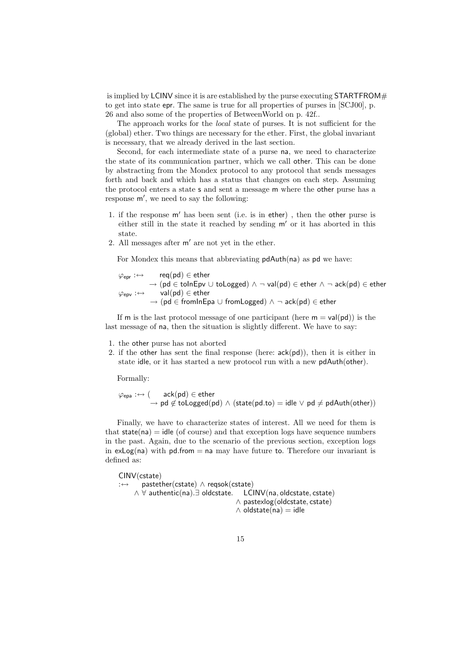is implied by LCINV since it is are established by the purse executing  $STARTFORM#$ to get into state epr. The same is true for all properties of purses in [SCJ00], p. 26 and also some of the properties of BetweenWorld on p. 42f..

The approach works for the local state of purses. It is not sufficient for the (global) ether. Two things are necessary for the ether. First, the global invariant is necessary, that we already derived in the last section.

Second, for each intermediate state of a purse na, we need to characterize the state of its communication partner, which we call other. This can be done by abstracting from the Mondex protocol to any protocol that sends messages forth and back and which has a status that changes on each step. Assuming the protocol enters a state s and sent a message m where the other purse has a response m′ , we need to say the following:

- 1. if the response m′ has been sent (i.e. is in ether) , then the other purse is either still in the state it reached by sending m′ or it has aborted in this state.
- 2. All messages after m′ are not yet in the ether.

For Mondex this means that abbreviating  $pd\text{Aut}(na)$  as  $pd$  we have:

 $\varphi_{\mathsf{epr}}:\leftrightarrow\qquad\mathsf{req}(\mathsf{pd})\in\mathsf{ether}$  $\rightarrow$   $(\mathsf{pd} \in \mathsf{tolnEpv} \cup \mathsf{tologged}) \land \neg \mathsf{val}(\mathsf{pd}) \in \mathsf{ether} \land \neg \mathsf{ack}(\mathsf{pd}) \in \mathsf{ether}$  $\varphi_{\mathsf{epv}}:\leftrightarrow \qquad \mathsf{val}(\mathsf{pd}) \in \mathsf{ether}$  $\rightarrow$   $(\mathsf{pd} \in \mathsf{fromInEpa} \cup \mathsf{fromLogged}) \land \neg \; \mathsf{ack}(\mathsf{pd}) \in \mathsf{ether}$ 

If m is the last protocol message of one participant (here  $m = val(pd)$ ) is the last message of na, then the situation is slightly different. We have to say:

- 1. the other purse has not aborted
- 2. if the other has sent the final response (here:  $ack(pd)$ ), then it is either in state idle, or it has started a new protocol run with a new pdAuth(other).

Formally:

$$
\varphi_{epa} : \leftrightarrow (\text{ack(pd)} \in \text{ether} \rightarrow \text{pd} \notin \text{toLogged(pd)} \land (\text{state(pd.to)} = \text{idle} \lor \text{pd} \neq \text{pdAuth}(\text{other}))
$$

Finally, we have to characterize states of interest. All we need for them is that  $state(na) = idle (of course)$  and that exception logs have sequence numbers in the past. Again, due to the scenario of the previous section, exception logs in  $ext{exLog}(na)$  with pd.from = na may have future to. Therefore our invariant is defined as:

```
CINV(cstate)
:↔ pastether(cstate) ∧ reqsok(cstate)
    ∧ ∀ authentic(na).∃ oldcstate. LCINV(na, oldcstate, cstate)
                                   ∧ pastexlog(oldcstate, cstate)
                                   \wedge oldstate(na) = idle
```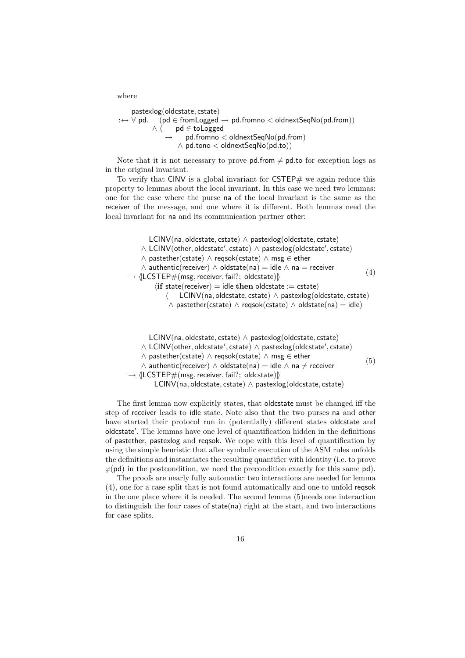where

pastexlog(oldcstate, cstate) : $\leftrightarrow \forall$  pd. (pd  $\in$  from Logged  $\rightarrow$  pd. from no  $\lt$  oldnext Seq No(pd. from))  $\wedge$  ( pd  $\in$  to Logged  $pd$ .fromno  $<$  oldnextSeqNo(pd.from)  $\land$  pd.tono < oldnextSeqNo(pd.to))

Note that it is not necessary to prove  $\text{pd}$ . From  $\neq$  pd.to for exception logs as in the original invariant.

To verify that  $CINV$  is a global invariant for  $CSTEP#$  we again reduce this property to lemmas about the local invariant. In this case we need two lemmas: one for the case where the purse na of the local invariant is the same as the receiver of the message, and one where it is different. Both lemmas need the local invariant for na and its communication partner other:

LCINV(na, oldcstate, cstate) ∧ pastexlog(oldcstate, cstate) ∧ LCINV(other, oldcstate′ , cstate) ∧ pastexlog(oldcstate′ , cstate) ∧ pastether(cstate) ∧ reqsok(cstate) ∧ msg ∈ ether  $\wedge$  authentic(receiver)  $\wedge$  oldstate(na) = idle  $\wedge$  na = receiver  $\rightarrow$   $\langle$ LCSTEP $\#$ (msg, receiver, fail?; oldcstate) $\rangle$  $\langle$  if state(receiver) = idle then oldcstate := cstate $\rangle$  $($  LCINV(na, oldcstate, cstate)  $\land$  pastexlog(oldcstate, cstate)  $\land$  pastether(cstate)  $\land$  regsok(cstate)  $\land$  oldstate(na) = idle) (4) LCINV(na, oldcstate, cstate) ∧ pastexlog(oldcstate, cstate) ∧ LCINV(other, oldcstate′ , cstate) ∧ pastexlog(oldcstate′ , cstate) ∧ pastether(cstate) ∧ reqsok(cstate) ∧ msg ∈ ether  $\wedge$  authentic(receiver)  $\wedge$  oldstate(na) = idle  $\wedge$  na  $\neq$  receiver (5)

 $\rightarrow$   $\langle$ LCSTEP $\#$ (msg, receiver, fail?; oldcstate))

LCINV(na, oldcstate, cstate)  $\land$  pastexlog(oldcstate, cstate)

The first lemma now explicitly states, that oldcstate must be changed iff the step of receiver leads to idle state. Note also that the two purses na and other have started their protocol run in (potentially) different states oldcstate and oldcstate′ . The lemmas have one level of quantification hidden in the definitions of pastether, pastexlog and reqsok. We cope with this level of quantification by using the simple heuristic that after symbolic execution of the ASM rules unfolds the definitions and instantiates the resulting quantifier with identity (i.e. to prove  $\varphi$ (pd) in the postcondition, we need the precondition exactly for this same pd).

The proofs are nearly fully automatic: two interactions are needed for lemma (4), one for a case split that is not found automatically and one to unfold reqsok in the one place where it is needed. The second lemma (5)needs one interaction to distinguish the four cases of  $state(na)$  right at the start, and two interactions for case splits.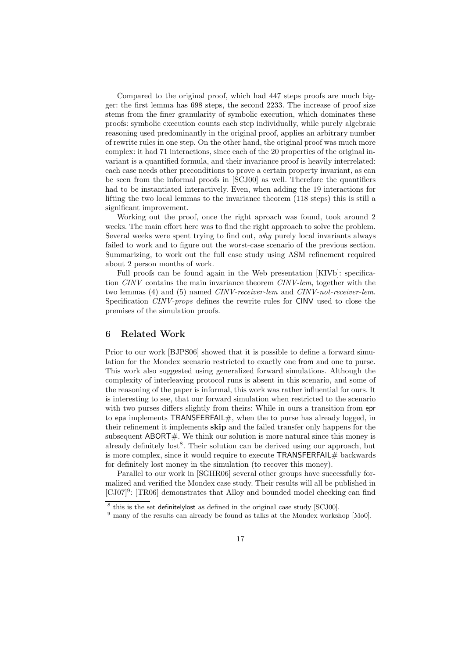Compared to the original proof, which had 447 steps proofs are much bigger: the first lemma has 698 steps, the second 2233. The increase of proof size stems from the finer granularity of symbolic execution, which dominates these proofs: symbolic execution counts each step individually, while purely algebraic reasoning used predominantly in the original proof, applies an arbitrary number of rewrite rules in one step. On the other hand, the original proof was much more complex: it had 71 interactions, since each of the 20 properties of the original invariant is a quantified formula, and their invariance proof is heavily interrelated: each case needs other preconditions to prove a certain property invariant, as can be seen from the informal proofs in [SCJ00] as well. Therefore the quantifiers had to be instantiated interactively. Even, when adding the 19 interactions for lifting the two local lemmas to the invariance theorem (118 steps) this is still a significant improvement.

Working out the proof, once the right aproach was found, took around 2 weeks. The main effort here was to find the right approach to solve the problem. Several weeks were spent trying to find out, why purely local invariants always failed to work and to figure out the worst-case scenario of the previous section. Summarizing, to work out the full case study using ASM refinement required about 2 person months of work.

Full proofs can be found again in the Web presentation [KIVb]: specification CINV contains the main invariance theorem CINV-lem, together with the two lemmas (4) and (5) named CINV-receiver-lem and CINV-not-receiver-lem. Specification CINV-props defines the rewrite rules for CINV used to close the premises of the simulation proofs.

#### 6 Related Work

Prior to our work [BJPS06] showed that it is possible to define a forward simulation for the Mondex scenario restricted to exactly one from and one to purse. This work also suggested using generalized forward simulations. Although the complexity of interleaving protocol runs is absent in this scenario, and some of the reasoning of the paper is informal, this work was rather influential for ours. It is interesting to see, that our forward simulation when restricted to the scenario with two purses differs slightly from theirs: While in ours a transition from epr to epa implements  $TRANSFERFAIL#$ , when the to purse has already logged, in their refinement it implements skip and the failed transfer only happens for the subsequent  $ABORT \#$ . We think our solution is more natural since this money is already definitely lost<sup>8</sup>. Their solution can be derived using our approach, but is more complex, since it would require to execute  $\textsf{TRANSFERFAIL}\#$  backwards for definitely lost money in the simulation (to recover this money).

Parallel to our work in [SGHR06] several other groups have successfully formalized and verified the Mondex case study. Their results will all be published in [CJ07]<sup>9</sup>: [TR06] demonstrates that Alloy and bounded model checking can find

<sup>&</sup>lt;sup>8</sup> this is the set definitelylost as defined in the original case study [SCJ00].

 $9$  many of the results can already be found as talks at the Mondex workshop [Mo0].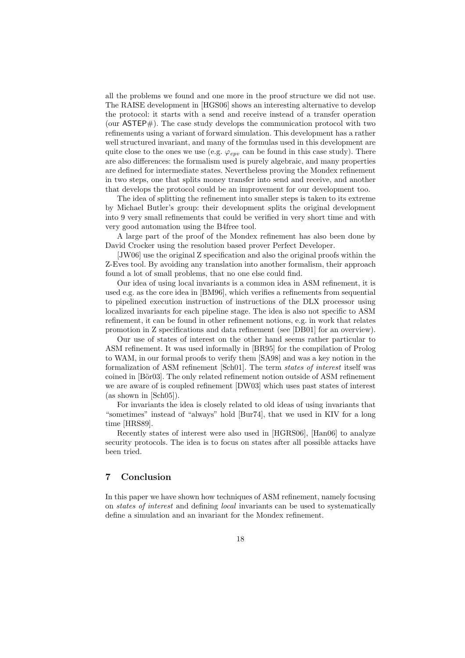all the problems we found and one more in the proof structure we did not use. The RAISE development in [HGS06] shows an interesting alternative to develop the protocol: it starts with a send and receive instead of a transfer operation (our  $ASTEP#$ ). The case study develops the communication protocol with two refinements using a variant of forward simulation. This development has a rather well structured invariant, and many of the formulas used in this development are quite close to the ones we use (e.g.  $\varphi_{epv}$  can be found in this case study). There are also differences: the formalism used is purely algebraic, and many properties are defined for intermediate states. Nevertheless proving the Mondex refinement in two steps, one that splits money transfer into send and receive, and another that develops the protocol could be an improvement for our development too.

The idea of splitting the refinement into smaller steps is taken to its extreme by Michael Butler's group: their development splits the original development into 9 very small refinements that could be verified in very short time and with very good automation using the B4free tool.

A large part of the proof of the Mondex refinement has also been done by David Crocker using the resolution based prover Perfect Developer.

[JW06] use the original Z specification and also the original proofs within the Z-Eves tool. By avoiding any translation into another formalism, their approach found a lot of small problems, that no one else could find.

Our idea of using local invariants is a common idea in ASM refinement, it is used e.g. as the core idea in [BM96], which verifies a refinements from sequential to pipelined execution instruction of instructions of the DLX processor using localized invariants for each pipeline stage. The idea is also not specific to ASM refinement, it can be found in other refinement notions, e.g. in work that relates promotion in Z specifications and data refinement (see [DB01] for an overview).

Our use of states of interest on the other hand seems rather particular to ASM refinement. It was used informally in [BR95] for the compilation of Prolog to WAM, in our formal proofs to verify them [SA98] and was a key notion in the formalization of ASM refinement [Sch01]. The term states of interest itself was coined in [Bör03]. The only related refinement notion outside of ASM refinement we are aware of is coupled refinement [DW03] which uses past states of interest (as shown in [Sch05]).

For invariants the idea is closely related to old ideas of using invariants that "sometimes" instead of "always" hold [Bur74], that we used in KIV for a long time [HRS89].

Recently states of interest were also used in [HGRS06], [Han06] to analyze security protocols. The idea is to focus on states after all possible attacks have been tried.

#### 7 Conclusion

In this paper we have shown how techniques of ASM refinement, namely focusing on states of interest and defining local invariants can be used to systematically define a simulation and an invariant for the Mondex refinement.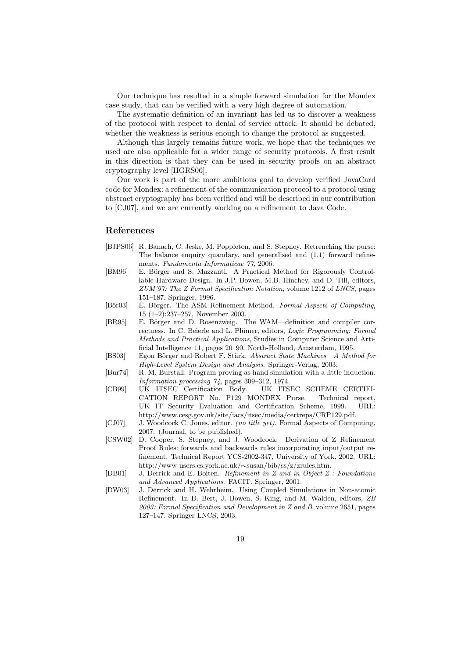Our technique has resulted in a simple forward simulation for the Mondex case study, that can be verified with a very high degree of automation.

The systematic definition of an invariant has led us to discover a weakness of the protocol with respect to denial of service attack. It should be debated, whether the weakness is serious enough to change the protocol as suggested.

Although this largely remains future work, we hope that the techniques we used are also applicable for a wider range of security protocols. A first result in this direction is that they can be used in security proofs on an abstract cryptography level [HGRS06].

Our work is part of the more ambitious goal to develop verified JavaCard code for Mondex: a refinement of the communication protocol to a protocol using abstract cryptography has been verified and will be described in our contribution to [CJ07], and we are currently working on a refinement to Java Code.

#### References

- [BJPS06] R. Banach, C. Jeske, M. Poppleton, and S. Stepney. Retrenching the purse: The balance enquiry quandary, and generalised and (1,1) forward refinements. Fundamenta Informaticae 77, 2006.
- [BM96] E. Börger and S. Mazzanti. A Practical Method for Rigorously Controllable Hardware Design. In J.P. Bowen, M.B. Hinchey, and D. Till, editors, ZUM'97: The Z Formal Specification Notation, volume 1212 of LNCS, pages 151–187. Springer, 1996.
- [Bör03] E. Börger. The ASM Refinement Method. Formal Aspects of Computing, 15 (1–2):237–257, November 2003.
- [BR95] E. Börger and D. Rosenzweig. The WAM—definition and compiler correctness. In C. Beierle and L. Plümer, editors, Logic Programming: Formal Methods and Practical Applications, Studies in Computer Science and Artificial Intelligence 11, pages 20–90. North-Holland, Amsterdam, 1995.
- [BS03] Egon Börger and Robert F. Stärk. Abstract State Machines—A Method for High-Level System Design and Analysis. Springer-Verlag, 2003.
- [Bur74] R. M. Burstall. Program proving as hand simulation with a little induction. Information processing 74, pages 309–312, 1974.<br>UK ITSEC Certification Body. UK ITSEC SCHEME CERTIFI-
- [CB99] UK ITSEC Certification Body. CATION REPORT No. P129 MONDEX Purse. Technical report, UK IT Security Evaluation and Certification Scheme, 1999. URL: http://www.cesg.gov.uk/site/iacs/itsec/media/certreps/CRP129.pdf.
- [CJ07] J. Woodcock C. Jones, editor. (no title yet). Formal Aspects of Computing, 2007. (Journal, to be published).
- [CSW02] D. Cooper, S. Stepney, and J. Woodcock. Derivation of Z Refinement Proof Rules: forwards and backwards rules incorporating input/output refinement. Technical Report YCS-2002-347, University of York, 2002. URL: http://www-users.cs.york.ac.uk/∼susan/bib/ss/z/zrules.htm.
- [DB01] J. Derrick and E. Boiten. Refinement in Z and in Object-Z : Foundations and Advanced Applications. FACIT. Springer, 2001.
- [DW03] J. Derrick and H. Wehrheim. Using Coupled Simulations in Non-atomic Refinement. In D. Bert, J. Bowen, S. King, and M. Walden, editors, ZB 2003: Formal Specification and Development in Z and B, volume 2651, pages 127–147. Springer LNCS, 2003.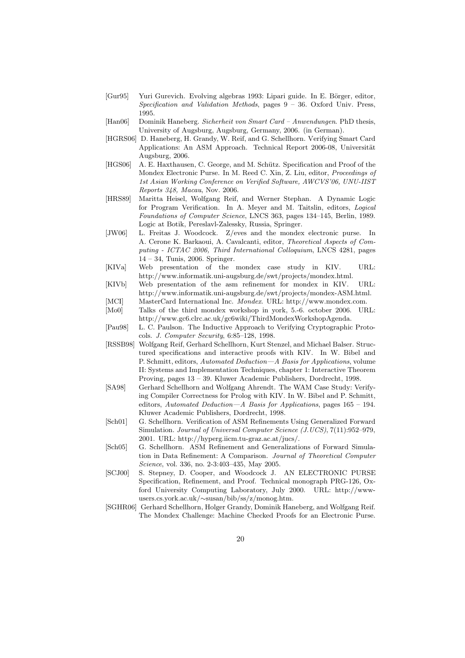- [Gur95] Yuri Gurevich. Evolving algebras 1993: Lipari guide. In E. Börger, editor, Specification and Validation Methods, pages  $9 - 36$ . Oxford Univ. Press, 1995.
- [Han06] Dominik Haneberg. Sicherheit von Smart Card Anwendungen. PhD thesis, University of Augsburg, Augsburg, Germany, 2006. (in German).
- [HGRS06] D. Haneberg, H. Grandy, W. Reif, and G. Schellhorn. Verifying Smart Card Applications: An ASM Approach. Technical Report 2006-08, Universität Augsburg, 2006.
- [HGS06] A. E. Haxthausen, C. George, and M. Schütz. Specification and Proof of the Mondex Electronic Purse. In M. Reed C. Xin, Z. Liu, editor, Proceedings of 1st Asian Working Conference on Verified Software, AWCVS'06, UNU-IIST Reports 348, Macau, Nov. 2006.
- [HRS89] Maritta Heisel, Wolfgang Reif, and Werner Stephan. A Dynamic Logic for Program Verification. In A. Meyer and M. Taitslin, editors, Logical Foundations of Computer Science, LNCS 363, pages 134–145, Berlin, 1989. Logic at Botik, Pereslavl-Zalessky, Russia, Springer.
- [JW06] L. Freitas J. Woodcock. Z/eves and the mondex electronic purse. In A. Cerone K. Barkaoui, A. Cavalcanti, editor, Theoretical Aspects of Computing - ICTAC 2006, Third International Colloquium, LNCS 4281, pages 14 – 34, Tunis, 2006. Springer.
- [KIVa] Web presentation of the mondex case study in KIV. URL: http://www.informatik.uni-augsburg.de/swt/projects/mondex.html.
- [KIVb] Web presentation of the asm refinement for mondex in KIV. URL: http://www.informatik.uni-augsburg.de/swt/projects/mondex-ASM.html.
- [MCI] MasterCard International Inc. Mondex. URL: http://www.mondex.com.
- [Mo0] Talks of the third mondex workshop in york, 5.-6. october 2006. URL: http://www.gc6.clrc.ac.uk/gc6wiki/ThirdMondexWorkshopAgenda.
- [Pau98] L. C. Paulson. The Inductive Approach to Verifying Cryptographic Protocols. J. Computer Security, 6:85–128, 1998.
- [RSSB98] Wolfgang Reif, Gerhard Schellhorn, Kurt Stenzel, and Michael Balser. Structured specifications and interactive proofs with KIV. In W. Bibel and P. Schmitt, editors, Automated Deduction—A Basis for Applications, volume II: Systems and Implementation Techniques, chapter 1: Interactive Theorem Proving, pages 13 – 39. Kluwer Academic Publishers, Dordrecht, 1998.
- [SA98] Gerhard Schellhorn and Wolfgang Ahrendt. The WAM Case Study: Verifying Compiler Correctness for Prolog with KIV. In W. Bibel and P. Schmitt, editors, Automated Deduction—A Basis for Applications, pages 165 – 194. Kluwer Academic Publishers, Dordrecht, 1998.
- [Sch01] G. Schellhorn. Verification of ASM Refinements Using Generalized Forward Simulation. Journal of Universal Computer Science (J.UCS), 7(11):952–979, 2001. URL: http://hyperg.iicm.tu-graz.ac.at/jucs/.
- [Sch05] G. Schellhorn. ASM Refinement and Generalizations of Forward Simulation in Data Refinement: A Comparison. Journal of Theoretical Computer Science, vol. 336, no. 2-3:403–435, May 2005.
- [SCJ00] S. Stepney, D. Cooper, and Woodcock J. AN ELECTRONIC PURSE Specification, Refinement, and Proof. Technical monograph PRG-126, Oxford University Computing Laboratory, July 2000. URL: http://wwwusers.cs.york.ac.uk/∼susan/bib/ss/z/monog.htm.
- [SGHR06] Gerhard Schellhorn, Holger Grandy, Dominik Haneberg, and Wolfgang Reif. The Mondex Challenge: Machine Checked Proofs for an Electronic Purse.